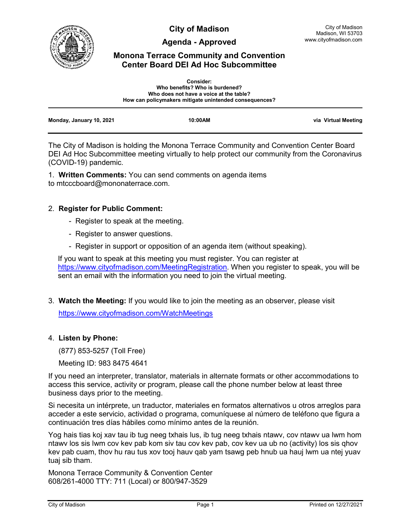

**City of Madison**

**Agenda - Approved**

# **Monona Terrace Community and Convention Center Board DEI Ad Hoc Subcommittee**

|                          | <b>Consider:</b><br>Who benefits? Who is burdened?<br>Who does not have a voice at the table?<br>How can policymakers mitigate unintended consequences? |                     |
|--------------------------|---------------------------------------------------------------------------------------------------------------------------------------------------------|---------------------|
| Monday, January 10, 2021 | 10:00AM                                                                                                                                                 | via Virtual Meeting |

The City of Madison is holding the Monona Terrace Community and Convention Center Board DEI Ad Hoc Subcommittee meeting virtually to help protect our community from the Coronavirus (COVID-19) pandemic.

1. **Written Comments:** You can send comments on agenda items to mtcccboard@mononaterrace.com.

## 2. **Register for Public Comment:**

- Register to speak at the meeting.
- Register to answer questions.
- Register in support or opposition of an agenda item (without speaking).

If you want to speak at this meeting you must register. You can register at [https://www.cityofmadison.com/MeetingRegistration.](https://www.cityofmadison.com/MeetingRegistration) When you register to speak, you will be sent an email with the information you need to join the virtual meeting.

3. **Watch the Meeting:** If you would like to join the meeting as an observer, please visit <https://www.cityofmadison.com/WatchMeetings>

## 4. **Listen by Phone:**

(877) 853-5257 (Toll Free)

Meeting ID: 983 8475 4641

If you need an interpreter, translator, materials in alternate formats or other accommodations to access this service, activity or program, please call the phone number below at least three business days prior to the meeting.

Si necesita un intérprete, un traductor, materiales en formatos alternativos u otros arreglos para acceder a este servicio, actividad o programa, comuníquese al número de teléfono que figura a continuación tres días hábiles como mínimo antes de la reunión.

Yog hais tias koj xav tau ib tug neeg txhais lus, ib tug neeg txhais ntawv, cov ntawv ua lwm hom ntawv los sis lwm cov kev pab kom siv tau cov kev pab, cov kev ua ub no (activity) los sis qhov kev pab cuam, thov hu rau tus xov tooj hauv qab yam tsawg peb hnub ua hauj lwm ua ntej yuav tuaj sib tham.

Monona Terrace Community & Convention Center 608/261-4000 TTY: 711 (Local) or 800/947-3529